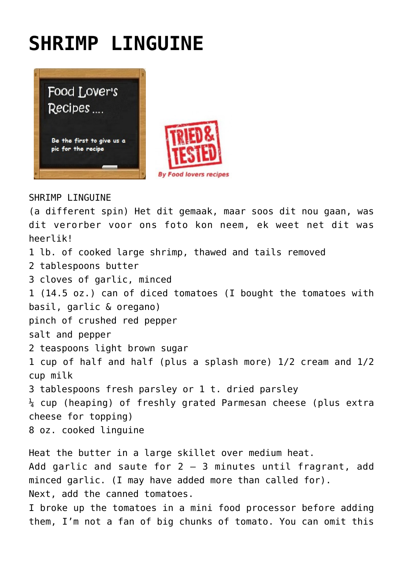## **[SHRIMP LINGUINE](https://www.foodloversrecipes.com/2022/02/shrimp-linguine/)**



## SHRIMP I INGUINE

(a different spin) Het dit gemaak, maar soos dit nou gaan, was dit verorber voor ons foto kon neem, ek weet net dit was heerlik! 1 lb. of cooked large shrimp, thawed and tails removed 2 tablespoons butter 3 cloves of garlic, minced 1 (14.5 oz.) can of diced tomatoes (I bought the tomatoes with basil, garlic & oregano) pinch of crushed red pepper salt and pepper 2 teaspoons light brown sugar 1 cup of half and half (plus a splash more) 1/2 cream and 1/2 cup milk 3 tablespoons fresh parsley or 1 t. dried parsley  $\frac{1}{4}$  cup (heaping) of freshly grated Parmesan cheese (plus extra cheese for topping) 8 oz. cooked linguine

Heat the butter in a large skillet over medium heat. Add garlic and saute for  $2 - 3$  minutes until fragrant, add minced garlic. (I may have added more than called for). Next, add the canned tomatoes.

I broke up the tomatoes in a mini food processor before adding them, I'm not a fan of big chunks of tomato. You can omit this